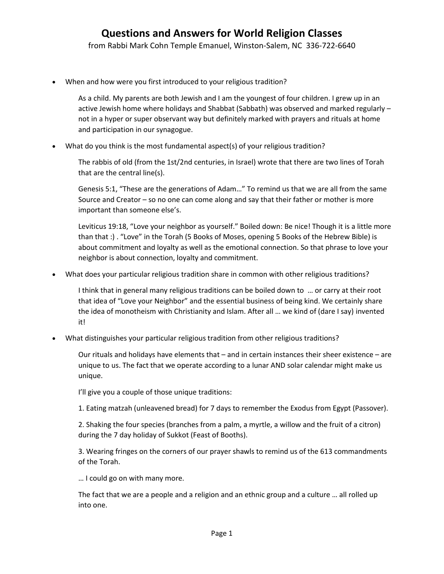from Rabbi Mark Cohn Temple Emanuel, Winston-Salem, NC 336-722-6640

When and how were you first introduced to your religious tradition?

As a child. My parents are both Jewish and I am the youngest of four children. I grew up in an active Jewish home where holidays and Shabbat (Sabbath) was observed and marked regularly – not in a hyper or super observant way but definitely marked with prayers and rituals at home and participation in our synagogue.

What do you think is the most fundamental aspect(s) of your religious tradition?

The rabbis of old (from the 1st/2nd centuries, in Israel) wrote that there are two lines of Torah that are the central line(s).

Genesis 5:1, "These are the generations of Adam…" To remind us that we are all from the same Source and Creator – so no one can come along and say that their father or mother is more important than someone else's.

Leviticus 19:18, "Love your neighbor as yourself." Boiled down: Be nice! Though it is a little more than that :) . "Love" in the Torah (5 Books of Moses, opening 5 Books of the Hebrew Bible) is about commitment and loyalty as well as the emotional connection. So that phrase to love your neighbor is about connection, loyalty and commitment.

What does your particular religious tradition share in common with other religious traditions?

I think that in general many religious traditions can be boiled down to … or carry at their root that idea of "Love your Neighbor" and the essential business of being kind. We certainly share the idea of monotheism with Christianity and Islam. After all … we kind of (dare I say) invented it!

What distinguishes your particular religious tradition from other religious traditions?

Our rituals and holidays have elements that – and in certain instances their sheer existence – are unique to us. The fact that we operate according to a lunar AND solar calendar might make us unique.

I'll give you a couple of those unique traditions:

1. Eating matzah (unleavened bread) for 7 days to remember the Exodus from Egypt (Passover).

2. Shaking the four species (branches from a palm, a myrtle, a willow and the fruit of a citron) during the 7 day holiday of Sukkot (Feast of Booths).

3. Wearing fringes on the corners of our prayer shawls to remind us of the 613 commandments of the Torah.

… I could go on with many more.

The fact that we are a people and a religion and an ethnic group and a culture … all rolled up into one.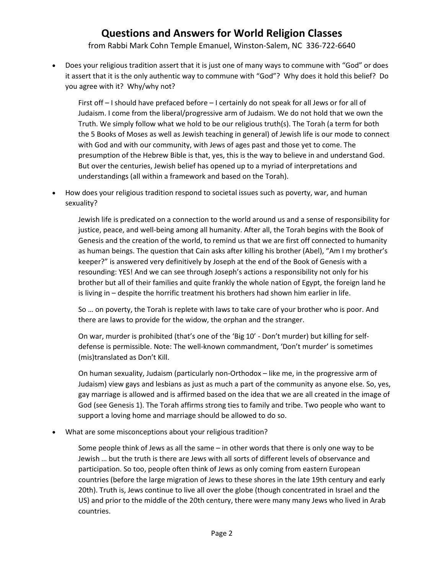## **Questions and Answers for World Religion Classes**

from Rabbi Mark Cohn Temple Emanuel, Winston-Salem, NC 336-722-6640

 Does your religious tradition assert that it is just one of many ways to commune with "God" or does it assert that it is the only authentic way to commune with "God"? Why does it hold this belief? Do you agree with it? Why/why not?

First off – I should have prefaced before – I certainly do not speak for all Jews or for all of Judaism. I come from the liberal/progressive arm of Judaism. We do not hold that we own the Truth. We simply follow what we hold to be our religious truth(s). The Torah (a term for both the 5 Books of Moses as well as Jewish teaching in general) of Jewish life is our mode to connect with God and with our community, with Jews of ages past and those yet to come. The presumption of the Hebrew Bible is that, yes, this is the way to believe in and understand God. But over the centuries, Jewish belief has opened up to a myriad of interpretations and understandings (all within a framework and based on the Torah).

 How does your religious tradition respond to societal issues such as poverty, war, and human sexuality?

Jewish life is predicated on a connection to the world around us and a sense of responsibility for justice, peace, and well-being among all humanity. After all, the Torah begins with the Book of Genesis and the creation of the world, to remind us that we are first off connected to humanity as human beings. The question that Cain asks after killing his brother (Abel), "Am I my brother's keeper?" is answered very definitively by Joseph at the end of the Book of Genesis with a resounding: YES! And we can see through Joseph's actions a responsibility not only for his brother but all of their families and quite frankly the whole nation of Egypt, the foreign land he is living in – despite the horrific treatment his brothers had shown him earlier in life.

So … on poverty, the Torah is replete with laws to take care of your brother who is poor. And there are laws to provide for the widow, the orphan and the stranger.

On war, murder is prohibited (that's one of the 'Big 10' - Don't murder) but killing for selfdefense is permissible. Note: The well-known commandment, 'Don't murder' is sometimes (mis)translated as Don't Kill.

On human sexuality, Judaism (particularly non-Orthodox – like me, in the progressive arm of Judaism) view gays and lesbians as just as much a part of the community as anyone else. So, yes, gay marriage is allowed and is affirmed based on the idea that we are all created in the image of God (see Genesis 1). The Torah affirms strong ties to family and tribe. Two people who want to support a loving home and marriage should be allowed to do so.

What are some misconceptions about your religious tradition?

Some people think of Jews as all the same – in other words that there is only one way to be Jewish … but the truth is there are Jews with all sorts of different levels of observance and participation. So too, people often think of Jews as only coming from eastern European countries (before the large migration of Jews to these shores in the late 19th century and early 20th). Truth is, Jews continue to live all over the globe (though concentrated in Israel and the US) and prior to the middle of the 20th century, there were many many Jews who lived in Arab countries.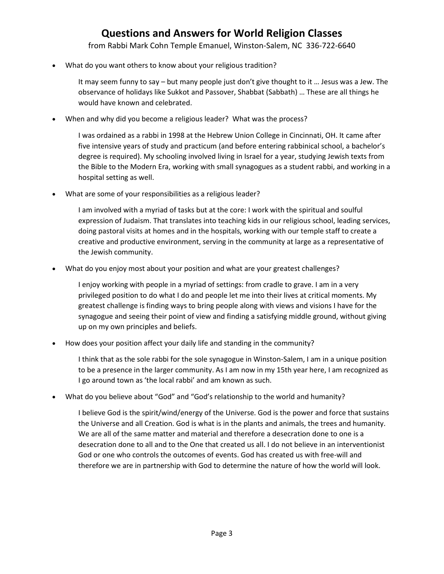## **Questions and Answers for World Religion Classes**

from Rabbi Mark Cohn Temple Emanuel, Winston-Salem, NC 336-722-6640

What do you want others to know about your religious tradition?

It may seem funny to say – but many people just don't give thought to it … Jesus was a Jew. The observance of holidays like Sukkot and Passover, Shabbat (Sabbath) … These are all things he would have known and celebrated.

When and why did you become a religious leader? What was the process?

I was ordained as a rabbi in 1998 at the Hebrew Union College in Cincinnati, OH. It came after five intensive years of study and practicum (and before entering rabbinical school, a bachelor's degree is required). My schooling involved living in Israel for a year, studying Jewish texts from the Bible to the Modern Era, working with small synagogues as a student rabbi, and working in a hospital setting as well.

What are some of your responsibilities as a religious leader?

I am involved with a myriad of tasks but at the core: I work with the spiritual and soulful expression of Judaism. That translates into teaching kids in our religious school, leading services, doing pastoral visits at homes and in the hospitals, working with our temple staff to create a creative and productive environment, serving in the community at large as a representative of the Jewish community.

What do you enjoy most about your position and what are your greatest challenges?

I enjoy working with people in a myriad of settings: from cradle to grave. I am in a very privileged position to do what I do and people let me into their lives at critical moments. My greatest challenge is finding ways to bring people along with views and visions I have for the synagogue and seeing their point of view and finding a satisfying middle ground, without giving up on my own principles and beliefs.

How does your position affect your daily life and standing in the community?

I think that as the sole rabbi for the sole synagogue in Winston-Salem, I am in a unique position to be a presence in the larger community. As I am now in my 15th year here, I am recognized as I go around town as 'the local rabbi' and am known as such.

What do you believe about "God" and "God's relationship to the world and humanity?

I believe God is the spirit/wind/energy of the Universe. God is the power and force that sustains the Universe and all Creation. God is what is in the plants and animals, the trees and humanity. We are all of the same matter and material and therefore a desecration done to one is a desecration done to all and to the One that created us all. I do not believe in an interventionist God or one who controls the outcomes of events. God has created us with free-will and therefore we are in partnership with God to determine the nature of how the world will look.